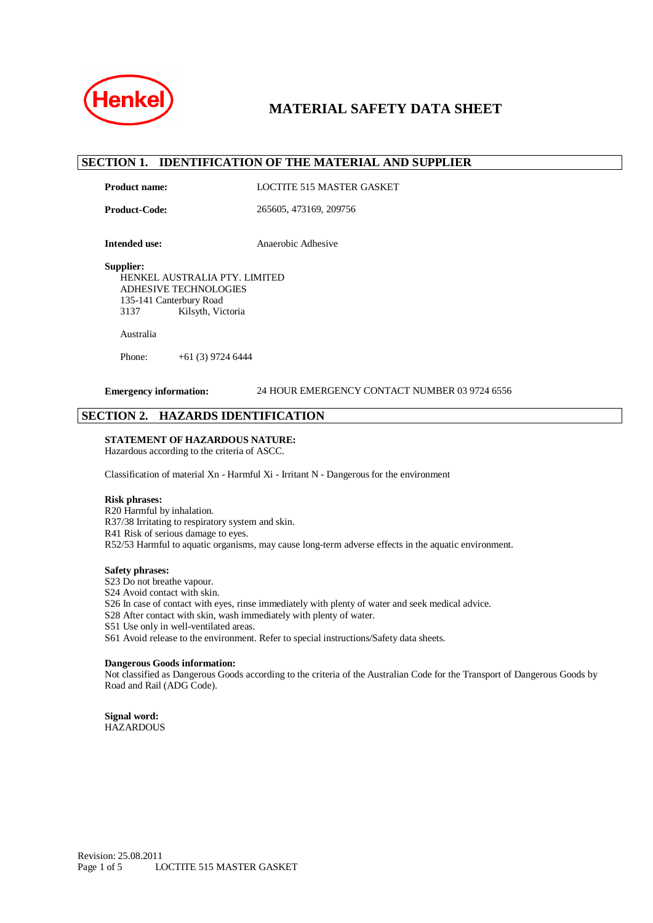

## **SECTION 1. IDENTIFICATION OF THE MATERIAL AND SUPPLIER**

Product name: LOCTITE 515 MASTER GASKET

**Product-Code:** 265605, 473169, 209756

**Intended use:** Anaerobic Adhesive

#### **Supplier:**

HENKEL AUSTRALIA PTY. LIMITED ADHESIVE TECHNOLOGIES 135-141 Canterbury Road 3137 Kilsyth, Victoria

#### Australia

Phone: +61 (3) 9724 6444

#### **Emergency information:** 24 HOUR EMERGENCY CONTACT NUMBER 03 9724 6556

## **SECTION 2. HAZARDS IDENTIFICATION**

#### **STATEMENT OF HAZARDOUS NATURE:**

Hazardous according to the criteria of ASCC.

Classification of material Xn - Harmful Xi - Irritant N - Dangerous for the environment

#### **Risk phrases:**

R20 Harmful by inhalation. R37/38 Irritating to respiratory system and skin. R41 Risk of serious damage to eyes. R52/53 Harmful to aquatic organisms, may cause long-term adverse effects in the aquatic environment.

#### **Safety phrases:**

- S23 Do not breathe vapour.
- S24 Avoid contact with skin.
- S26 In case of contact with eyes, rinse immediately with plenty of water and seek medical advice.
- S28 After contact with skin, wash immediately with plenty of water.
- S51 Use only in well-ventilated areas.
- S61 Avoid release to the environment. Refer to special instructions/Safety data sheets.

#### **Dangerous Goods information:**

Not classified as Dangerous Goods according to the criteria of the Australian Code for the Transport of Dangerous Goods by Road and Rail (ADG Code).

**Signal word: HAZARDOUS**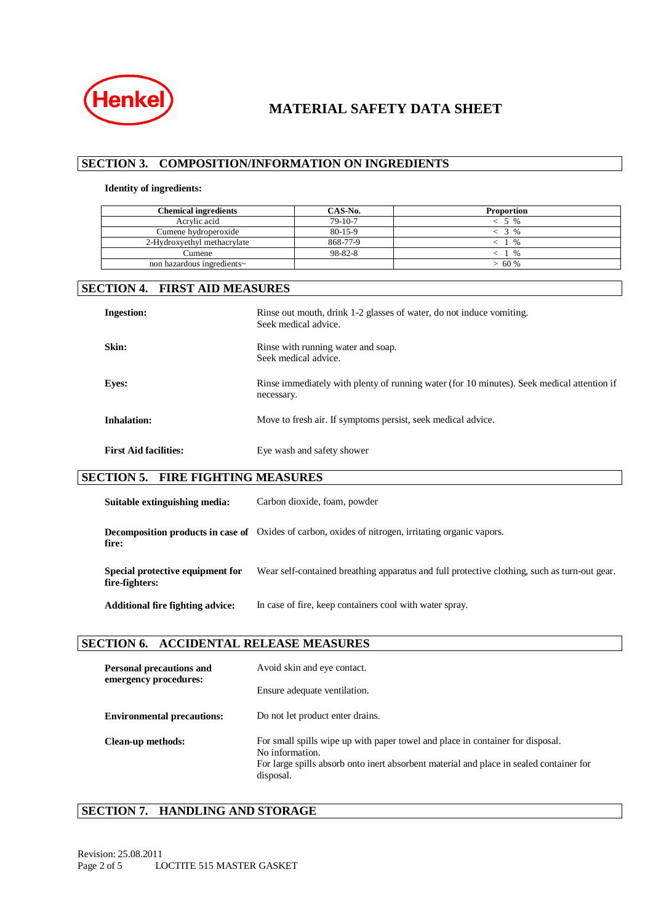

# **SECTION 3. COMPOSITION/INFORMATION ON INGREDIENTS**

#### **Identity of ingredients:**

| <b>Chemical ingredients</b> | CAS-No.   | <b>Proportion</b> |
|-----------------------------|-----------|-------------------|
| Acrylic acid                | $79-10-7$ | $\%$              |
| Cumene hydroperoxide        | $80-15-9$ | $\frac{0}{0}$     |
| 2-Hydroxyethyl methacrylate | 868-77-9  | $\%$              |
| Cumene                      | 98-82-8   | $\%$              |
| non hazardous ingredients~  |           | 60 %              |

# **SECTION 4. FIRST AID MEASURES**

| <b>Ingestion:</b>            | Rinse out mouth, drink 1-2 glasses of water, do not induce vomiting.<br>Seek medical advice.             |
|------------------------------|----------------------------------------------------------------------------------------------------------|
| Skin:                        | Rinse with running water and soap.<br>Seek medical advice.                                               |
| <b>Eyes:</b>                 | Rinse immediately with plenty of running water (for 10 minutes). Seek medical attention if<br>necessary. |
| <b>Inhalation:</b>           | Move to fresh air. If symptoms persist, seek medical advice.                                             |
| <b>First Aid facilities:</b> | Eye wash and safety shower                                                                               |

## **SECTION 5. FIRE FIGHTING MEASURES**

| Suitable extinguishing media:                      | Carbon dioxide, foam, powder                                                                              |
|----------------------------------------------------|-----------------------------------------------------------------------------------------------------------|
| fire:                                              | <b>Decomposition products in case of</b> Oxides of carbon, oxides of nitrogen, irritating organic vapors. |
| Special protective equipment for<br>fire-fighters: | Wear self-contained breathing apparatus and full protective clothing, such as turn-out gear.              |
| <b>Additional fire fighting advice:</b>            | In case of fire, keep containers cool with water spray.                                                   |

## **SECTION 6. ACCIDENTAL RELEASE MEASURES**

| <b>Personal precautions and</b><br>emergency procedures: | Avoid skin and eye contact.                                                                                                                                                                               |  |
|----------------------------------------------------------|-----------------------------------------------------------------------------------------------------------------------------------------------------------------------------------------------------------|--|
|                                                          | Ensure adequate ventilation.                                                                                                                                                                              |  |
| <b>Environmental precautions:</b>                        | Do not let product enter drains.                                                                                                                                                                          |  |
| Clean-up methods:                                        | For small spills wipe up with paper towel and place in container for disposal.<br>No information.<br>For large spills absorb onto inert absorbent material and place in sealed container for<br>disposal. |  |

## **SECTION 7. HANDLING AND STORAGE**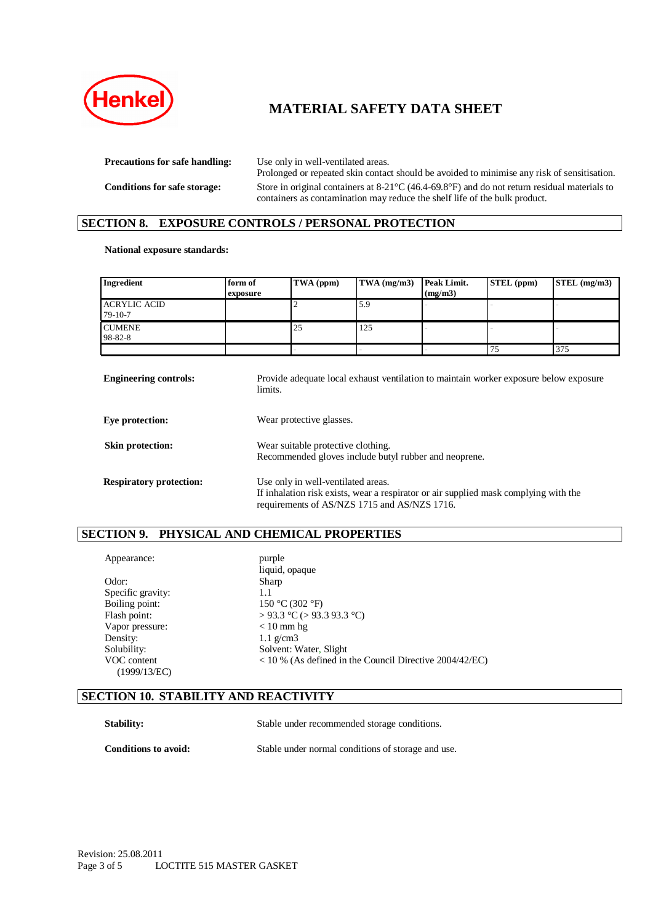

**Precautions for safe handling:** Use only in well-ventilated areas.

Prolonged or repeated skin contact should be avoided to minimise any risk of sensitisation. **Conditions for safe storage:** Store in original containers at 8-21°C (46.4-69.8°F) and do not return residual materials to containers as contamination may reduce the shelf life of the bulk product.

## **SECTION 8. EXPOSURE CONTROLS / PERSONAL PROTECTION**

#### **National exposure standards:**

| Ingredient                       | form of<br>exposure | TWA (ppm) | $\mathbf{TWA}$ (mg/m3) | Peak Limit.<br>(mg/m3) | STEL (ppm) | $STEL$ (mg/m3) |
|----------------------------------|---------------------|-----------|------------------------|------------------------|------------|----------------|
| <b>ACRYLIC ACID</b><br>$79-10-7$ |                     |           | 5.9                    |                        |            |                |
| <b>CUMENE</b><br>98-82-8         |                     | 25        | 125                    |                        |            |                |
|                                  |                     |           |                        |                        |            | 375            |

| <b>Engineering controls:</b>   | Provide adequate local exhaust ventilation to maintain worker exposure below exposure<br>limits.                                                                           |
|--------------------------------|----------------------------------------------------------------------------------------------------------------------------------------------------------------------------|
| Eye protection:                | Wear protective glasses.                                                                                                                                                   |
| Skin protection:               | Wear suitable protective clothing.<br>Recommended gloves include butyl rubber and neoprene.                                                                                |
| <b>Respiratory protection:</b> | Use only in well-ventilated areas.<br>If inhalation risk exists, wear a respirator or air supplied mask complying with the<br>requirements of AS/NZS 1715 and AS/NZS 1716. |

#### **SECTION 9. PHYSICAL AND CHEMICAL PROPERTIES**

| Appearance:                 | purple                                                    |
|-----------------------------|-----------------------------------------------------------|
|                             | liquid, opaque                                            |
| Odor:                       | Sharp                                                     |
| Specific gravity:           | 1.1                                                       |
| Boiling point:              | 150 °C (302 °F)                                           |
| Flash point:                | > 93.3 °C (> 93.3 93.3 °C)                                |
| Vapor pressure:             | $< 10$ mm hg                                              |
| Density:                    | $1.1 \text{ g/cm}$ 3                                      |
| Solubility:                 | Solvent: Water, Slight                                    |
| VOC content<br>(1999/13/EC) | $<$ 10 % (As defined in the Council Directive 2004/42/EC) |
|                             |                                                           |

#### **SECTION 10. STABILITY AND REACTIVITY**

Stability: Stable under recommended storage conditions.

**Conditions to avoid:** Stable under normal conditions of storage and use.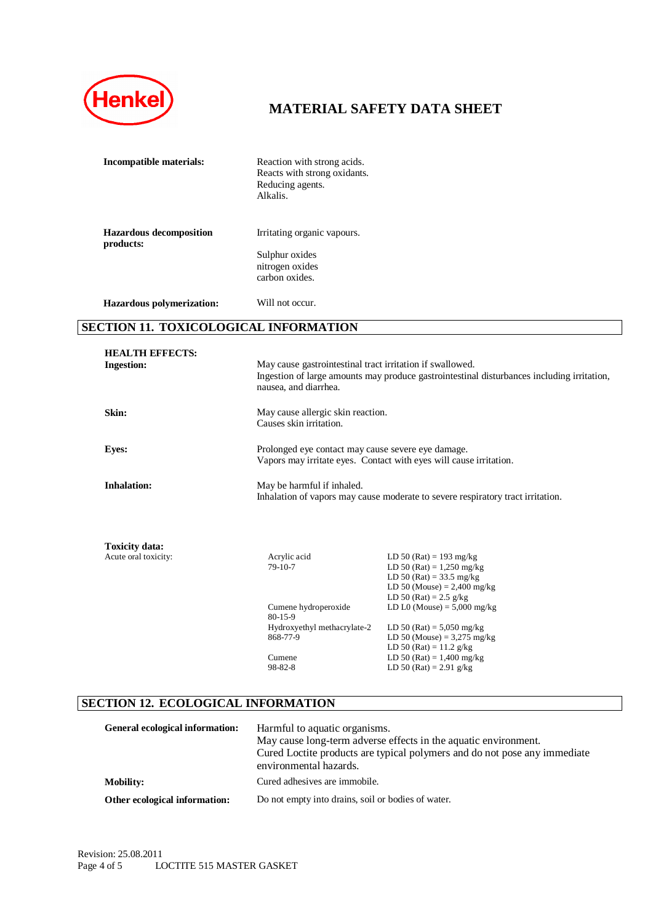

| Incompatible materials:                     | Reaction with strong acids.<br>Reacts with strong oxidants.<br>Reducing agents.<br>Alkalis. |
|---------------------------------------------|---------------------------------------------------------------------------------------------|
| <b>Hazardous decomposition</b><br>products: | Irritating organic vapours.                                                                 |
|                                             | Sulphur oxides<br>nitrogen oxides<br>carbon oxides.                                         |
| Hazardous polymerization:                   | Will not occur.                                                                             |

## **SECTION 11. TOXICOLOGICAL INFORMATION**

| <b>HEALTH EFFECTS:</b><br><b>Ingestion:</b> | May cause gastrointestinal tract irritation if swallowed.<br>nausea, and diarrhea. | Ingestion of large amounts may produce gastrointestinal disturbances including irritation,                                                                |
|---------------------------------------------|------------------------------------------------------------------------------------|-----------------------------------------------------------------------------------------------------------------------------------------------------------|
| Skin:                                       | May cause allergic skin reaction.<br>Causes skin irritation.                       |                                                                                                                                                           |
| <b>Eyes:</b>                                | Prolonged eye contact may cause severe eye damage.                                 | Vapors may irritate eyes. Contact with eyes will cause irritation.                                                                                        |
| <b>Inhalation:</b>                          | May be harmful if inhaled.                                                         | Inhalation of vapors may cause moderate to severe respiratory tract irritation.                                                                           |
| <b>Toxicity data:</b>                       |                                                                                    |                                                                                                                                                           |
| Acute oral toxicity:                        | Acrylic acid<br>79-10-7                                                            | LD 50 (Rat) = 193 mg/kg<br>LD 50 (Rat) = $1,250$ mg/kg<br>LD 50 (Rat) = $33.5$ mg/kg<br>LD 50 (Mouse) = $2,400$ mg/kg<br>LD 50 (Rat) = $2.5 \text{ g/kg}$ |
|                                             | Cumene hydroperoxide<br>$80 - 15 - 9$                                              | LD L0 (Mouse) = $5,000$ mg/kg                                                                                                                             |
|                                             | Hydroxyethyl methacrylate-2<br>868-77-9                                            | LD 50 (Rat) = $5,050$ mg/kg<br>LD 50 (Mouse) = $3,275$ mg/kg<br>LD 50 (Rat) = $11.2 \text{ g/kg}$                                                         |
|                                             | Cumene<br>98-82-8                                                                  | LD 50 (Rat) = $1,400$ mg/kg<br>LD 50 (Rat) = 2.91 g/kg                                                                                                    |

# **SECTION 12. ECOLOGICAL INFORMATION**

| General ecological information: | Harmful to aquatic organisms.<br>May cause long-term adverse effects in the aquatic environment.<br>Cured Loctite products are typical polymers and do not pose any immediate<br>environmental hazards. |
|---------------------------------|---------------------------------------------------------------------------------------------------------------------------------------------------------------------------------------------------------|
| <b>Mobility:</b>                | Cured adhesives are immobile.                                                                                                                                                                           |
| Other ecological information:   | Do not empty into drains, soil or bodies of water.                                                                                                                                                      |